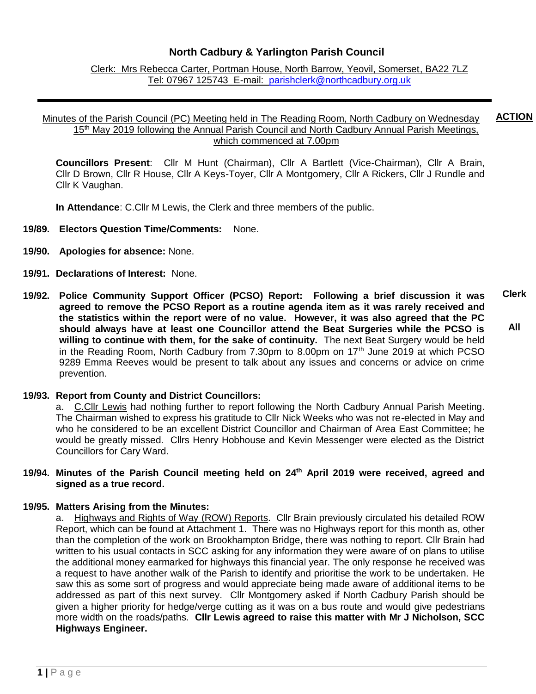# **North Cadbury & Yarlington Parish Council**

Clerk: Mrs Rebecca Carter, Portman House, North Barrow, Yeovil, Somerset, BA22 7LZ Tel: 07967 125743 E-mail: [parishclerk@northcadbury.org.uk](mailto:parishclerk@northcadbury.org.uk)

#### Minutes of the Parish Council (PC) Meeting held in The Reading Room, North Cadbury on Wednesday 15<sup>th</sup> May 2019 following the Annual Parish Council and North Cadbury Annual Parish Meetings, which commenced at 7.00pm **ACTION**

**Councillors Present**: Cllr M Hunt (Chairman), Cllr A Bartlett (Vice-Chairman), Cllr A Brain, Cllr D Brown, Cllr R House, Cllr A Keys-Toyer, Cllr A Montgomery, Cllr A Rickers, Cllr J Rundle and Cllr K Vaughan.

**In Attendance**: C.Cllr M Lewis, the Clerk and three members of the public.

- **19/89. Electors Question Time/Comments:** None.
- **19/90. Apologies for absence:** None.
- **19/91. Declarations of Interest:** None.
- **19/92. Police Community Support Officer (PCSO) Report: Following a brief discussion it was agreed to remove the PCSO Report as a routine agenda item as it was rarely received and the statistics within the report were of no value. However, it was also agreed that the PC should always have at least one Councillor attend the Beat Surgeries while the PCSO is willing to continue with them, for the sake of continuity.** The next Beat Surgery would be held in the Reading Room, North Cadbury from 7.30pm to 8.00pm on 17<sup>th</sup> June 2019 at which PCSO 9289 Emma Reeves would be present to talk about any issues and concerns or advice on crime prevention. **Clerk All**

### **19/93. Report from County and District Councillors:**

a. C.Cllr Lewis had nothing further to report following the North Cadbury Annual Parish Meeting. The Chairman wished to express his gratitude to Cllr Nick Weeks who was not re-elected in May and who he considered to be an excellent District Councillor and Chairman of Area East Committee; he would be greatly missed. Cllrs Henry Hobhouse and Kevin Messenger were elected as the District Councillors for Cary Ward.

### **19/94. Minutes of the Parish Council meeting held on 24 th April 2019 were received, agreed and signed as a true record.**

### **19/95. Matters Arising from the Minutes:**

a. Highways and Rights of Way (ROW) Reports.Cllr Brain previously circulated his detailed ROW Report, which can be found at Attachment 1. There was no Highways report for this month as, other than the completion of the work on Brookhampton Bridge, there was nothing to report. Cllr Brain had written to his usual contacts in SCC asking for any information they were aware of on plans to utilise the additional money earmarked for highways this financial year. The only response he received was a request to have another walk of the Parish to identify and prioritise the work to be undertaken. He saw this as some sort of progress and would appreciate being made aware of additional items to be addressed as part of this next survey. Cllr Montgomery asked if North Cadbury Parish should be given a higher priority for hedge/verge cutting as it was on a bus route and would give pedestrians more width on the roads/paths. **Cllr Lewis agreed to raise this matter with Mr J Nicholson, SCC Highways Engineer.**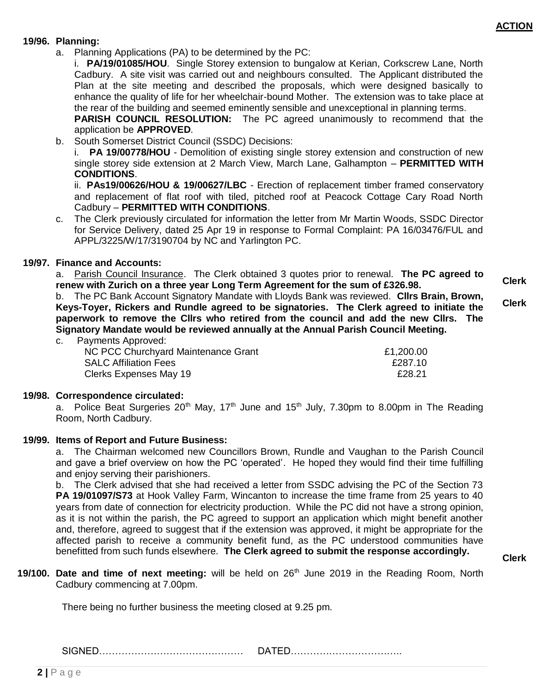**Clerk**

**Clerk**

### **19/96. Planning:**

a. Planning Applications (PA) to be determined by the PC:

i. **PA/19/01085/HOU**. Single Storey extension to bungalow at Kerian, Corkscrew Lane, North Cadbury. A site visit was carried out and neighbours consulted. The Applicant distributed the Plan at the site meeting and described the proposals, which were designed basically to enhance the quality of life for her wheelchair-bound Mother. The extension was to take place at the rear of the building and seemed eminently sensible and unexceptional in planning terms.

**PARISH COUNCIL RESOLUTION:** The PC agreed unanimously to recommend that the application be **APPROVED**.

b. South Somerset District Council (SSDC) Decisions:

i. **PA 19/00778/HOU** - Demolition of existing single storey extension and construction of new single storey side extension at 2 March View, March Lane, Galhampton – **PERMITTED WITH CONDITIONS**.

ii. **PAs19/00626/HOU & 19/00627/LBC** - Erection of replacement timber framed conservatory and replacement of flat roof with tiled, pitched roof at Peacock Cottage Cary Road North Cadbury – **PERMITTED WITH CONDITIONS**.

c. The Clerk previously circulated for information the letter from Mr Martin Woods, SSDC Director for Service Delivery, dated 25 Apr 19 in response to Formal Complaint: PA 16/03476/FUL and APPL/3225/W/17/3190704 by NC and Yarlington PC.

## **19/97. Finance and Accounts:**

a. Parish Council Insurance. The Clerk obtained 3 quotes prior to renewal. **The PC agreed to renew with Zurich on a three year Long Term Agreement for the sum of £326.98.**

b. The PC Bank Account Signatory Mandate with Lloyds Bank was reviewed. **Cllrs Brain, Brown, Keys-Toyer, Rickers and Rundle agreed to be signatories. The Clerk agreed to initiate the paperwork to remove the Cllrs who retired from the council and add the new Cllrs. The Signatory Mandate would be reviewed annually at the Annual Parish Council Meeting.**

c. Payments Approved:

| NC PCC Churchyard Maintenance Grant | £1,200.00 |
|-------------------------------------|-----------|
| <b>SALC Affiliation Fees</b>        | £287.10   |
| Clerks Expenses May 19              | £28.21    |

### **19/98. Correspondence circulated:**

a. Police Beat Surgeries 20<sup>th</sup> May, 17<sup>th</sup> June and 15<sup>th</sup> July, 7.30pm to 8.00pm in The Reading Room, North Cadbury.

### **19/99. Items of Report and Future Business:**

a. The Chairman welcomed new Councillors Brown, Rundle and Vaughan to the Parish Council and gave a brief overview on how the PC 'operated'. He hoped they would find their time fulfilling and enjoy serving their parishioners.

b. The Clerk advised that she had received a letter from SSDC advising the PC of the Section 73 **PA 19/01097/S73** at Hook Valley Farm, Wincanton to increase the time frame from 25 years to 40 years from date of connection for electricity production. While the PC did not have a strong opinion, as it is not within the parish, the PC agreed to support an application which might benefit another and, therefore, agreed to suggest that if the extension was approved, it might be appropriate for the affected parish to receive a community benefit fund, as the PC understood communities have benefitted from such funds elsewhere. **The Clerk agreed to submit the response accordingly.**

- **Clerk**
- 19/100. Date and time of next meeting: will be held on 26<sup>th</sup> June 2019 in the Reading Room, North Cadbury commencing at 7.00pm.

There being no further business the meeting closed at 9.25 pm.

SIGNED……………………………………… DATED……………………………..